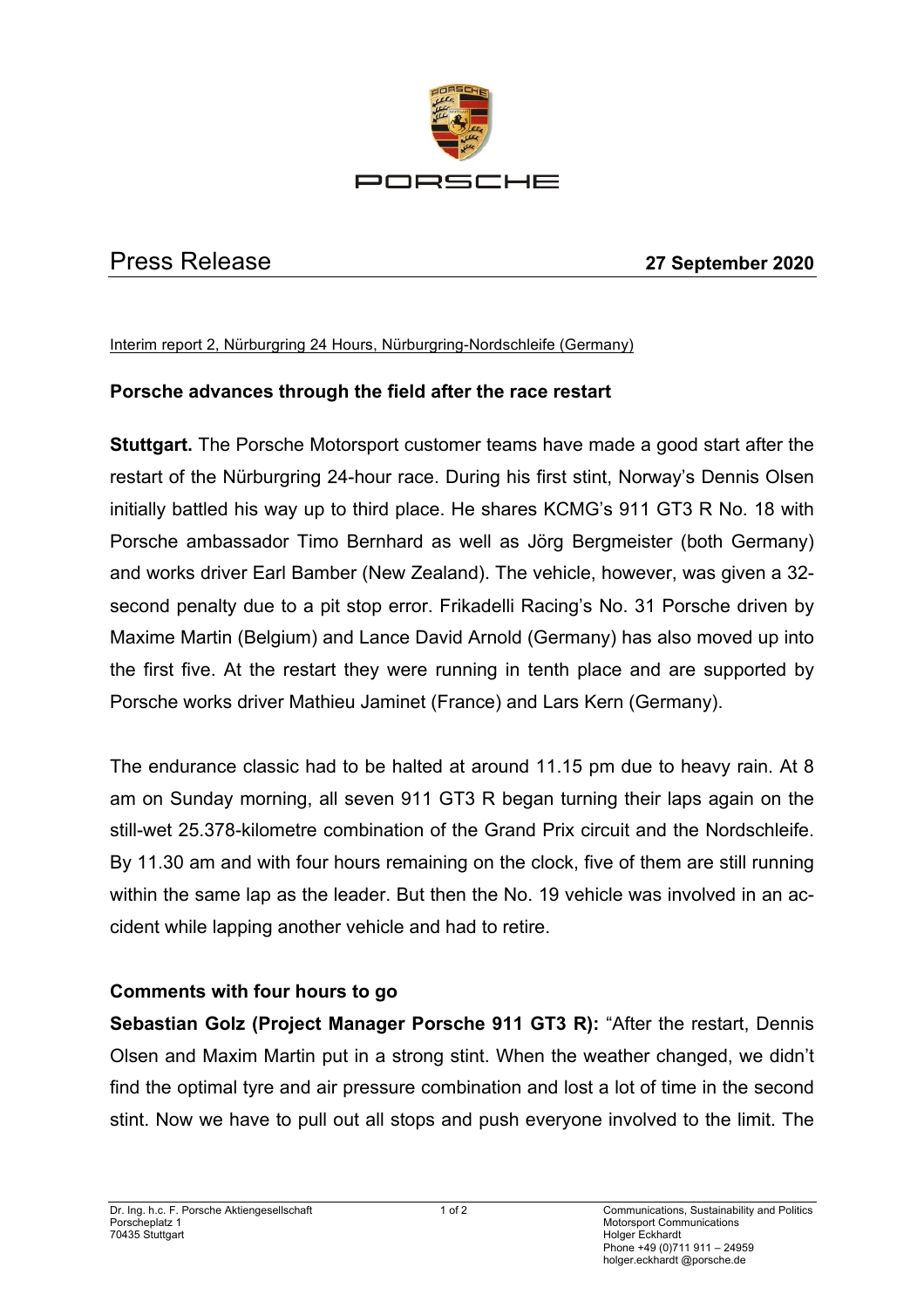

## Press Release **27 September 2020**

Interim report 2, Nürburgring 24 Hours, Nürburgring-Nordschleife (Germany)

## **Porsche advances through the field after the race restart**

**Stuttgart.** The Porsche Motorsport customer teams have made a good start after the restart of the Nürburgring 24-hour race. During his first stint, Norway's Dennis Olsen initially battled his way up to third place. He shares KCMG's 911 GT3 R No. 18 with Porsche ambassador Timo Bernhard as well as Jörg Bergmeister (both Germany) and works driver Earl Bamber (New Zealand). The vehicle, however, was given a 32 second penalty due to a pit stop error. Frikadelli Racing's No. 31 Porsche driven by Maxime Martin (Belgium) and Lance David Arnold (Germany) has also moved up into the first five. At the restart they were running in tenth place and are supported by Porsche works driver Mathieu Jaminet (France) and Lars Kern (Germany).

The endurance classic had to be halted at around 11.15 pm due to heavy rain. At 8 am on Sunday morning, all seven 911 GT3 R began turning their laps again on the still-wet 25.378-kilometre combination of the Grand Prix circuit and the Nordschleife. By 11.30 am and with four hours remaining on the clock, five of them are still running within the same lap as the leader. But then the No. 19 vehicle was involved in an accident while lapping another vehicle and had to retire.

## **Comments with four hours to go**

**Sebastian Golz (Project Manager Porsche 911 GT3 R):** "After the restart, Dennis Olsen and Maxim Martin put in a strong stint. When the weather changed, we didn't find the optimal tyre and air pressure combination and lost a lot of time in the second stint. Now we have to pull out all stops and push everyone involved to the limit. The